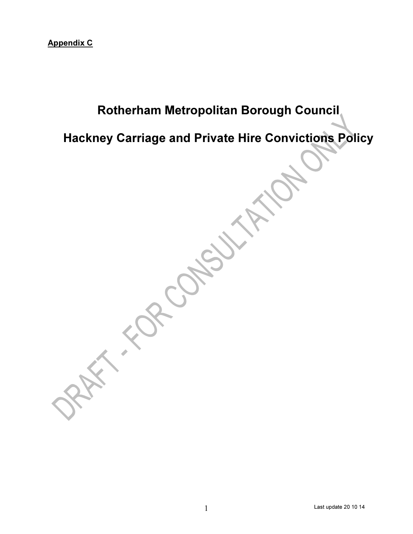# Rotherham Metropolitan Borough Council

Hackney Carriage and Private Hire Convictions Policy

in the Contest of the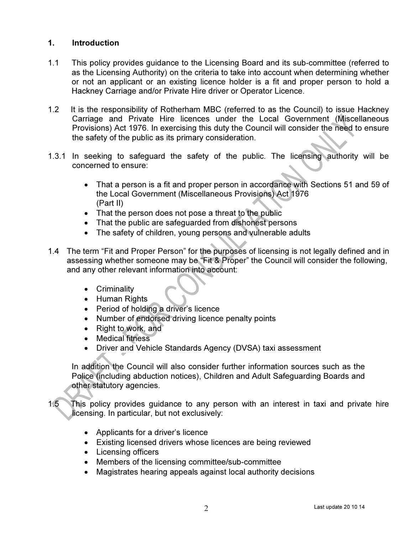# 1. Introduction

- 1.1 This policy provides guidance to the Licensing Board and its sub-committee (referred to as the Licensing Authority) on the criteria to take into account when determining whether or not an applicant or an existing licence holder is a fit and proper person to hold a Hackney Carriage and/or Private Hire driver or Operator Licence.
- 1.2 It is the responsibility of Rotherham MBC (referred to as the Council) to issue Hackney Carriage and Private Hire licences under the Local Government (Miscellaneous Provisions) Act 1976. In exercising this duty the Council will consider the need to ensure the safety of the public as its primary consideration.
- 1.3.1 In seeking to safeguard the safety of the public. The licensing authority will be concerned to ensure:
	- That a person is a fit and proper person in accordance with Sections 51 and 59 of the Local Government (Miscellaneous Provisions) Act 1976 (Part II)
	- That the person does not pose a threat to the public
	- That the public are safeguarded from dishonest persons
	- The safety of children, young persons and vulnerable adults
- 1.4 The term "Fit and Proper Person" for the purposes of licensing is not legally defined and in assessing whether someone may be "Fit & Proper" the Council will consider the following, and any other relevant information into account:
	- Criminality
	- Human Rights
	- Period of holding a driver's licence
	- Number of endorsed driving licence penalty points
	- Right to work, and
	- Medical fitness
	- Driver and Vehicle Standards Agency (DVSA) taxi assessment

 In addition the Council will also consider further information sources such as the Police (including abduction notices), Children and Adult Safeguarding Boards and other statutory agencies.

1.5 This policy provides guidance to any person with an interest in taxi and private hire licensing. In particular, but not exclusively:

- Applicants for a driver's licence
- Existing licensed drivers whose licences are being reviewed
- Licensing officers
- Members of the licensing committee/sub-committee
- Magistrates hearing appeals against local authority decisions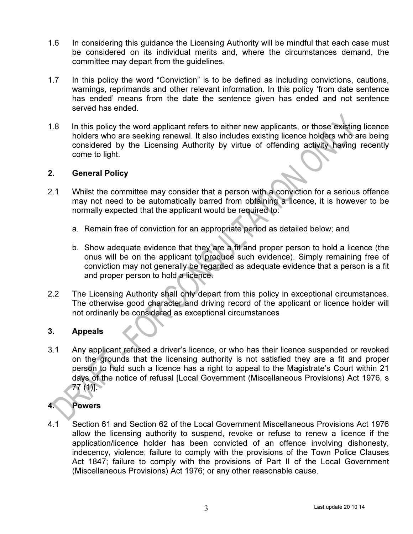- 1.6 In considering this guidance the Licensing Authority will be mindful that each case must be considered on its individual merits and, where the circumstances demand, the committee may depart from the guidelines.
- 1.7 In this policy the word "Conviction" is to be defined as including convictions, cautions, warnings, reprimands and other relevant information. In this policy 'from date sentence has ended' means from the date the sentence given has ended and not sentence served has ended.
- 1.8 In this policy the word applicant refers to either new applicants, or those existing licence holders who are seeking renewal. It also includes existing licence holders who are being considered by the Licensing Authority by virtue of offending activity having recently come to light.

### 2. General Policy

- 2.1 Whilst the committee may consider that a person with a conviction for a serious offence may not need to be automatically barred from obtaining a licence, it is however to be normally expected that the applicant would be required to:
	- a. Remain free of conviction for an appropriate period as detailed below; and
	- b. Show adequate evidence that they are a fit and proper person to hold a licence (the onus will be on the applicant to produce such evidence). Simply remaining free of conviction may not generally be regarded as adequate evidence that a person is a fit and proper person to hold a licence.
- 2.2 The Licensing Authority shall only depart from this policy in exceptional circumstances. The otherwise good character and driving record of the applicant or licence holder will not ordinarily be considered as exceptional circumstances

### 3. Appeals

3.1 Any applicant refused a driver's licence, or who has their licence suspended or revoked on the grounds that the licensing authority is not satisfied they are a fit and proper person to hold such a licence has a right to appeal to the Magistrate's Court within 21 days of the notice of refusal [Local Government (Miscellaneous Provisions) Act 1976, s 77 (1)].

# 4. Powers

4.1 Section 61 and Section 62 of the Local Government Miscellaneous Provisions Act 1976 allow the licensing authority to suspend, revoke or refuse to renew a licence if the application/licence holder has been convicted of an offence involving dishonesty, indecency, violence; failure to comply with the provisions of the Town Police Clauses Act 1847; failure to comply with the provisions of Part II of the Local Government (Miscellaneous Provisions) Act 1976; or any other reasonable cause.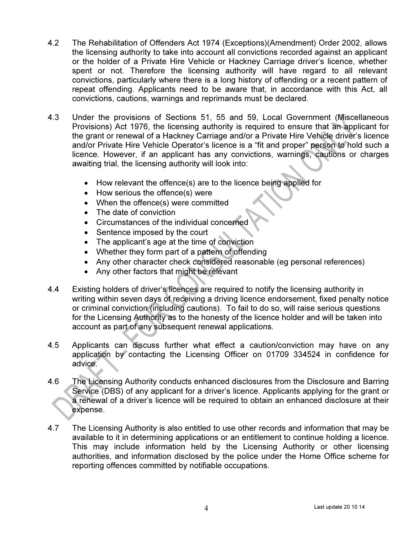- 4.2 The Rehabilitation of Offenders Act 1974 (Exceptions)(Amendment) Order 2002, allows the licensing authority to take into account all convictions recorded against an applicant or the holder of a Private Hire Vehicle or Hackney Carriage driver's licence, whether spent or not. Therefore the licensing authority will have regard to all relevant convictions, particularly where there is a long history of offending or a recent pattern of repeat offending. Applicants need to be aware that, in accordance with this Act, all convictions, cautions, warnings and reprimands must be declared.
- 4.3 Under the provisions of Sections 51, 55 and 59, Local Government (Miscellaneous Provisions) Act 1976, the licensing authority is required to ensure that an applicant for the grant or renewal of a Hackney Carriage and/or a Private Hire Vehicle driver's licence and/or Private Hire Vehicle Operator's licence is a "fit and proper" person to hold such a licence. However, if an applicant has any convictions, warnings, cautions or charges awaiting trial, the licensing authority will look into:
	- How relevant the offence(s) are to the licence being applied for
	- How serious the offence(s) were
	- When the offence(s) were committed
	- The date of conviction
	- Circumstances of the individual concerned
	- Sentence imposed by the court
	- The applicant's age at the time of conviction
	- Whether they form part of a pattern of offending
	- Any other character check considered reasonable (eg personal references)
	- Any other factors that might be relevant
- 4.4 Existing holders of driver's licences are required to notify the licensing authority in writing within seven days of receiving a driving licence endorsement, fixed penalty notice or criminal conviction (including cautions). To fail to do so, will raise serious questions for the Licensing Authority as to the honesty of the licence holder and will be taken into account as part of any subsequent renewal applications.
- 4.5 Applicants can discuss further what effect a caution/conviction may have on any application by contacting the Licensing Officer on 01709 334524 in confidence for advice.
- 4.6 The Licensing Authority conducts enhanced disclosures from the Disclosure and Barring Service (DBS) of any applicant for a driver's licence. Applicants applying for the grant or a renewal of a driver's licence will be required to obtain an enhanced disclosure at their expense.
- 4.7 The Licensing Authority is also entitled to use other records and information that may be available to it in determining applications or an entitlement to continue holding a licence. This may include information held by the Licensing Authority or other licensing authorities, and information disclosed by the police under the Home Office scheme for reporting offences committed by notifiable occupations.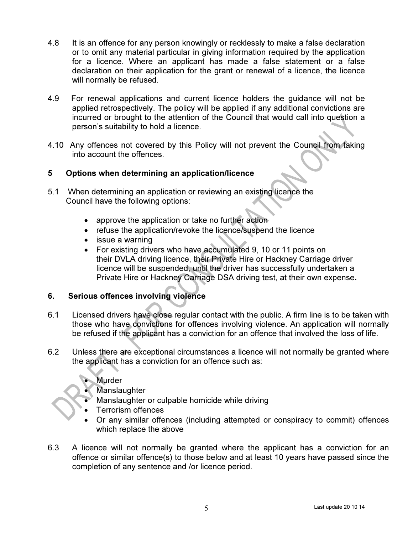- 4.8 It is an offence for any person knowingly or recklessly to make a false declaration or to omit any material particular in giving information required by the application for a licence. Where an applicant has made a false statement or a false declaration on their application for the grant or renewal of a licence, the licence will normally be refused.
- 4.9 For renewal applications and current licence holders the guidance will not be applied retrospectively. The policy will be applied if any additional convictions are incurred or brought to the attention of the Council that would call into question a person's suitability to hold a licence.
- 4.10 Any offences not covered by this Policy will not prevent the Council from taking into account the offences.

### 5 Options when determining an application/licence

- 5.1 When determining an application or reviewing an existing licence the Council have the following options:
	- approve the application or take no further action
	- refuse the application/revoke the licence/suspend the licence
	- issue a warning
	- For existing drivers who have accumulated 9, 10 or 11 points on their DVLA driving licence, their Private Hire or Hackney Carriage driver licence will be suspended, until the driver has successfully undertaken a Private Hire or Hackney Carriage DSA driving test, at their own expense.

### 6. Serious offences involving violence

- 6.1 Licensed drivers have close regular contact with the public. A firm line is to be taken with those who have convictions for offences involving violence. An application will normally be refused if the applicant has a conviction for an offence that involved the loss of life.
- 6.2 Unless there are exceptional circumstances a licence will not normally be granted where the applicant has a conviction for an offence such as:
	- **Murder**
	- **Manslaughter**
	- Manslaughter or culpable homicide while driving
	- Terrorism offences
	- Or any similar offences (including attempted or conspiracy to commit) offences which replace the above
- 6.3 A licence will not normally be granted where the applicant has a conviction for an offence or similar offence(s) to those below and at least 10 years have passed since the completion of any sentence and /or licence period.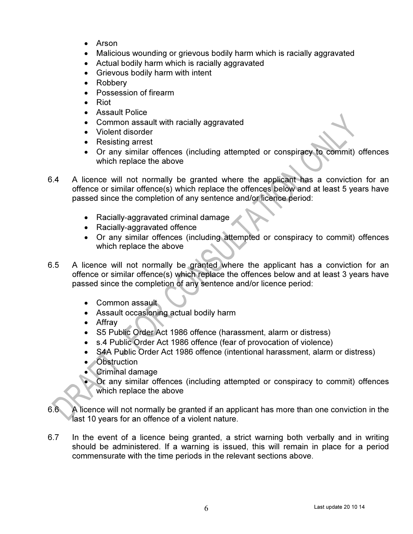- Arson
- Malicious wounding or grievous bodily harm which is racially aggravated
- Actual bodily harm which is racially aggravated
- Grievous bodily harm with intent
- Robbery
- Possession of firearm
- Riot
- Assault Police
- Common assault with racially aggravated
- Violent disorder
- Resisting arrest
- Or any similar offences (including attempted or conspiracy to commit) offences which replace the above
- 6.4 A licence will not normally be granted where the applicant has a conviction for an offence or similar offence(s) which replace the offences below and at least 5 years have passed since the completion of any sentence and/or licence period:
	- Racially-aggravated criminal damage
	- Racially-aggravated offence
	- Or any similar offences (including attempted or conspiracy to commit) offences which replace the above
- 6.5 A licence will not normally be granted where the applicant has a conviction for an offence or similar offence(s) which replace the offences below and at least 3 years have passed since the completion of any sentence and/or licence period:
	- Common assault
	- Assault occasioning actual bodily harm
	- Affray
	- S5 Public Order Act 1986 offence (harassment, alarm or distress)
	- s.4 Public Order Act 1986 offence (fear of provocation of violence)
	- S4A Public Order Act 1986 offence (intentional harassment, alarm or distress)
	- Obstruction
	- Criminal damage
		- Or any similar offences (including attempted or conspiracy to commit) offences which replace the above
- 6.6 A licence will not normally be granted if an applicant has more than one conviction in the last 10 years for an offence of a violent nature.
- 6.7 In the event of a licence being granted, a strict warning both verbally and in writing should be administered. If a warning is issued, this will remain in place for a period commensurate with the time periods in the relevant sections above.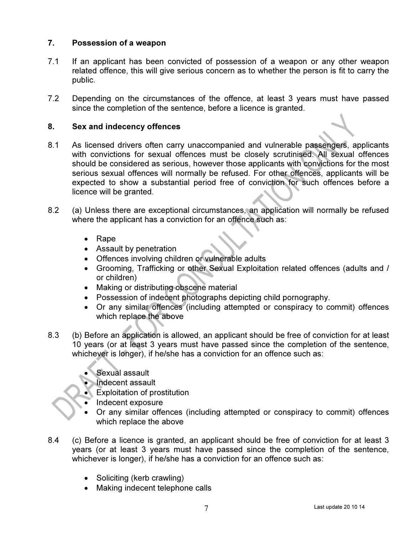## 7. Possession of a weapon

- 7.1 If an applicant has been convicted of possession of a weapon or any other weapon related offence, this will give serious concern as to whether the person is fit to carry the public.
- 7.2 Depending on the circumstances of the offence, at least 3 years must have passed since the completion of the sentence, before a licence is granted.

### 8. Sex and indecency offences

- 8.1 As licensed drivers often carry unaccompanied and vulnerable passengers, applicants with convictions for sexual offences must be closely scrutinised. All sexual offences should be considered as serious, however those applicants with convictions for the most serious sexual offences will normally be refused. For other offences, applicants will be expected to show a substantial period free of conviction for such offences before a licence will be granted.
- 8.2 (a) Unless there are exceptional circumstances, an application will normally be refused where the applicant has a conviction for an offence such as:
	- Rape
	- Assault by penetration
	- Offences involving children or vulnerable adults
	- Grooming, Trafficking or other Sexual Exploitation related offences (adults and / or children)
	- Making or distributing obscene material
	- Possession of indecent photographs depicting child pornography.
	- Or any similar offences (including attempted or conspiracy to commit) offences which replace the above
- 8.3 (b) Before an application is allowed, an applicant should be free of conviction for at least 10 years (or at least 3 years must have passed since the completion of the sentence, whichever is longer), if he/she has a conviction for an offence such as:
	- Sexual assault
	- Indecent assault
	- Exploitation of prostitution
	- Indecent exposure
	- Or any similar offences (including attempted or conspiracy to commit) offences which replace the above
- 8.4 (c) Before a licence is granted, an applicant should be free of conviction for at least 3 years (or at least 3 years must have passed since the completion of the sentence, whichever is longer), if he/she has a conviction for an offence such as:
	- Soliciting (kerb crawling)
	- Making indecent telephone calls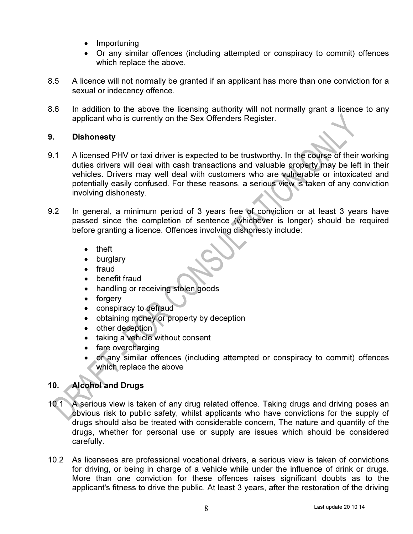- Importuning
- Or any similar offences (including attempted or conspiracy to commit) offences which replace the above.
- 8.5 A licence will not normally be granted if an applicant has more than one conviction for a sexual or indecency offence.
- 8.6 In addition to the above the licensing authority will not normally grant a licence to any applicant who is currently on the Sex Offenders Register.

## 9. Dishonesty

- 9.1 A licensed PHV or taxi driver is expected to be trustworthy. In the course of their working duties drivers will deal with cash transactions and valuable property may be left in their vehicles. Drivers may well deal with customers who are vulnerable or intoxicated and potentially easily confused. For these reasons, a serious view is taken of any conviction involving dishonesty.
- 9.2 In general, a minimum period of 3 years free of conviction or at least 3 years have passed since the completion of sentence (whichever is longer) should be required before granting a licence. Offences involving dishonesty include:
	- theft
	- burglary
	- fraud
	- benefit fraud
	- handling or receiving stolen goods
	- forgery
	- conspiracy to defraud
	- obtaining money or property by deception
	- other deception
	- taking a vehicle without consent
	- fare overcharging
	- or any similar offences (including attempted or conspiracy to commit) offences which replace the above

# 10. Alcohol and Drugs

- 10.1 A serious view is taken of any drug related offence. Taking drugs and driving poses an obvious risk to public safety, whilst applicants who have convictions for the supply of drugs should also be treated with considerable concern, The nature and quantity of the drugs, whether for personal use or supply are issues which should be considered carefully.
- 10.2 As licensees are professional vocational drivers, a serious view is taken of convictions for driving, or being in charge of a vehicle while under the influence of drink or drugs. More than one conviction for these offences raises significant doubts as to the applicant's fitness to drive the public. At least 3 years, after the restoration of the driving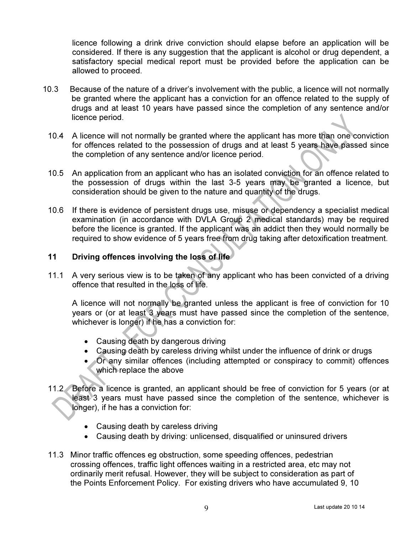licence following a drink drive conviction should elapse before an application will be considered. If there is any suggestion that the applicant is alcohol or drug dependent, a satisfactory special medical report must be provided before the application can be allowed to proceed.

- 10.3 Because of the nature of a driver's involvement with the public, a licence will not normally be granted where the applicant has a conviction for an offence related to the supply of drugs and at least 10 years have passed since the completion of any sentence and/or licence period.
	- 10.4 A licence will not normally be granted where the applicant has more than one conviction for offences related to the possession of drugs and at least 5 years have passed since the completion of any sentence and/or licence period.
	- 10.5 An application from an applicant who has an isolated conviction for an offence related to the possession of drugs within the last 3-5 years may be granted a licence, but consideration should be given to the nature and quantity of the drugs.
	- 10.6 If there is evidence of persistent drugs use, misuse or dependency a specialist medical examination (in accordance with DVLA Group 2 medical standards) may be required before the licence is granted. If the applicant was an addict then they would normally be required to show evidence of 5 years free from drug taking after detoxification treatment.

### 11 Driving offences involving the loss of life

11.1 A very serious view is to be taken of any applicant who has been convicted of a driving offence that resulted in the loss of life.

A licence will not normally be granted unless the applicant is free of conviction for 10 years or (or at least 3 years must have passed since the completion of the sentence, whichever is longer) if he has a conviction for:

- Causing death by dangerous driving
- Causing death by careless driving whilst under the influence of drink or drugs
- Or any similar offences (including attempted or conspiracy to commit) offences which replace the above
- 11.2 Before a licence is granted, an applicant should be free of conviction for 5 years (or at least 3 years must have passed since the completion of the sentence, whichever is longer), if he has a conviction for:
	- Causing death by careless driving
	- Causing death by driving: unlicensed, disqualified or uninsured drivers
- 11.3 Minor traffic offences eg obstruction, some speeding offences, pedestrian crossing offences, traffic light offences waiting in a restricted area, etc may not ordinarily merit refusal. However, they will be subject to consideration as part of the Points Enforcement Policy. For existing drivers who have accumulated 9, 10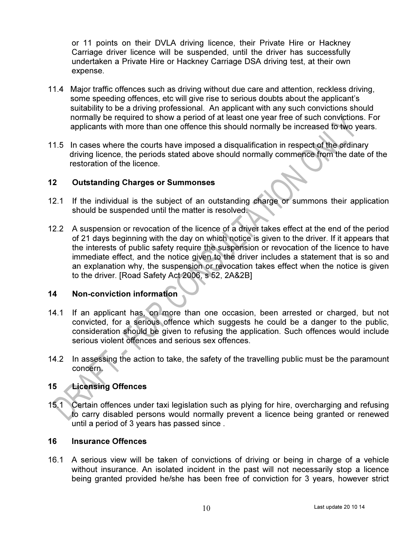or 11 points on their DVLA driving licence, their Private Hire or Hackney Carriage driver licence will be suspended, until the driver has successfully undertaken a Private Hire or Hackney Carriage DSA driving test, at their own expense.

- 11.4 Major traffic offences such as driving without due care and attention, reckless driving, some speeding offences, etc will give rise to serious doubts about the applicant's suitability to be a driving professional. An applicant with any such convictions should normally be required to show a period of at least one year free of such convictions. For applicants with more than one offence this should normally be increased to two years.
- 11.5 In cases where the courts have imposed a disqualification in respect of the ordinary driving licence, the periods stated above should normally commence from the date of the restoration of the licence.

### 12 Outstanding Charges or Summonses

- 12.1 If the individual is the subject of an outstanding charge or summons their application should be suspended until the matter is resolved.
- 12.2 A suspension or revocation of the licence of a driver takes effect at the end of the period of 21 days beginning with the day on which notice is given to the driver. If it appears that the interests of public safety require the suspension or revocation of the licence to have immediate effect, and the notice given to the driver includes a statement that is so and an explanation why, the suspension or revocation takes effect when the notice is given to the driver. [Road Safety Act 2006, s 52, 2A&2B]

#### 14 Non-conviction information

- 14.1 If an applicant has, on more than one occasion, been arrested or charged, but not convicted, for a serious offence which suggests he could be a danger to the public, consideration should be given to refusing the application. Such offences would include serious violent offences and serious sex offences.
- 14.2 In assessing the action to take, the safety of the travelling public must be the paramount concern.

### 15 Licensing Offences

15.1 Certain offences under taxi legislation such as plying for hire, overcharging and refusing to carry disabled persons would normally prevent a licence being granted or renewed until a period of 3 years has passed since .

#### 16 Insurance Offences

16.1 A serious view will be taken of convictions of driving or being in charge of a vehicle without insurance. An isolated incident in the past will not necessarily stop a licence being granted provided he/she has been free of conviction for 3 years, however strict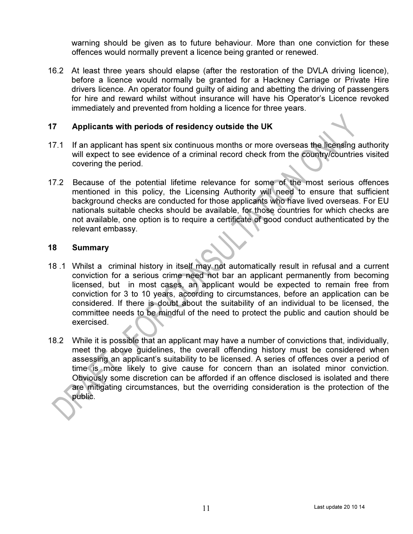warning should be given as to future behaviour. More than one conviction for these offences would normally prevent a licence being granted or renewed.

16.2 At least three years should elapse (after the restoration of the DVLA driving licence), before a licence would normally be granted for a Hackney Carriage or Private Hire drivers licence. An operator found guilty of aiding and abetting the driving of passengers for hire and reward whilst without insurance will have his Operator's Licence revoked immediately and prevented from holding a licence for three years.

### 17 Applicants with periods of residency outside the UK

- 17.1 If an applicant has spent six continuous months or more overseas the licensing authority will expect to see evidence of a criminal record check from the country/countries visited covering the period.
- 17.2 Because of the potential lifetime relevance for some of the most serious offences mentioned in this policy, the Licensing Authority will need to ensure that sufficient background checks are conducted for those applicants who have lived overseas. For EU nationals suitable checks should be available, for those countries for which checks are not available, one option is to require a certificate of good conduct authenticated by the relevant embassy.

#### 18 Summary

- 18 .1 Whilst a criminal history in itself may not automatically result in refusal and a current conviction for a serious crime need not bar an applicant permanently from becoming licensed, but in most cases, an applicant would be expected to remain free from conviction for 3 to 10 years, according to circumstances, before an application can be considered. If there is doubt about the suitability of an individual to be licensed, the committee needs to be mindful of the need to protect the public and caution should be exercised.
- 18.2 While it is possible that an applicant may have a number of convictions that, individually, meet the above guidelines, the overall offending history must be considered when assessing an applicant's suitability to be licensed. A series of offences over a period of time is more likely to give cause for concern than an isolated minor conviction. Obviously some discretion can be afforded if an offence disclosed is isolated and there are mitigating circumstances, but the overriding consideration is the protection of the public.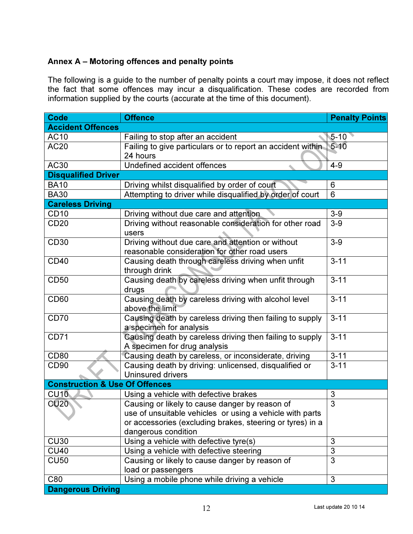# Annex A – Motoring offences and penalty points

The following is a guide to the number of penalty points a court may impose, it does not reflect the fact that some offences may incur a disqualification. These codes are recorded from information supplied by the courts (accurate at the time of this document).

| <b>Code</b>                               | <b>Offence</b>                                              | <b>Penalty Points</b> |
|-------------------------------------------|-------------------------------------------------------------|-----------------------|
| <b>Accident Offences</b>                  |                                                             |                       |
| <b>AC10</b>                               | Failing to stop after an accident                           | $5 - 10$              |
| <b>AC20</b>                               | Failing to give particulars or to report an accident within | $5 - 10$              |
|                                           | 24 hours                                                    |                       |
| AC30                                      | Undefined accident offences                                 | $4 - 9$               |
| <b>Disqualified Driver</b>                |                                                             |                       |
| <b>BA10</b>                               | Driving whilst disqualified by order of court               | 6                     |
| <b>BA30</b>                               | Attempting to driver while disqualified by order of court   | 6                     |
| <b>Careless Driving</b>                   |                                                             |                       |
| CD <sub>10</sub>                          | Driving without due care and attention                      | $3-9$                 |
| <b>CD20</b>                               | Driving without reasonable consideration for other road     | $3-9$                 |
|                                           | users                                                       |                       |
| <b>CD30</b>                               | Driving without due care and attention or without           | $3-9$                 |
|                                           | reasonable consideration for other road users               |                       |
| <b>CD40</b>                               | Causing death through careless driving when unfit           | $3 - 11$              |
|                                           | through drink                                               |                       |
| <b>CD50</b>                               | Causing death by careless driving when unfit through        | $3 - 11$              |
|                                           | drugs                                                       |                       |
| CD <sub>60</sub>                          | Causing death by careless driving with alcohol level        | $3 - 11$              |
|                                           | above the limit                                             |                       |
| <b>CD70</b>                               | Causing death by careless driving then failing to supply    | $3 - 11$              |
|                                           | a specimen for analysis                                     |                       |
| <b>CD71</b>                               | Causing death by careless driving then failing to supply    | $3 - 11$              |
|                                           | A specimen for drug analysis                                |                       |
| <b>CD80</b>                               | Causing death by careless, or inconsiderate, driving        | $3 - 11$              |
| CD <sub>90</sub>                          | Causing death by driving: unlicensed, disqualified or       | $3 - 11$              |
|                                           | <b>Uninsured drivers</b>                                    |                       |
| <b>Construction &amp; Use Of Offences</b> |                                                             |                       |
| CU10                                      | Using a vehicle with defective brakes                       | 3                     |
| <b>CU20</b>                               | Causing or likely to cause danger by reason of              | 3                     |
|                                           | use of unsuitable vehicles or using a vehicle with parts    |                       |
|                                           | or accessories (excluding brakes, steering or tyres) in a   |                       |
|                                           | dangerous condition                                         |                       |
| <b>CU30</b>                               | Using a vehicle with defective tyre(s)                      | 3                     |
| <b>CU40</b>                               | Using a vehicle with defective steering                     | 3                     |
| <b>CU50</b>                               | Causing or likely to cause danger by reason of              | 3                     |
|                                           | load or passengers                                          |                       |
| C80                                       | Using a mobile phone while driving a vehicle                | $\mathfrak{S}$        |
| <b>Dangerous Driving</b>                  |                                                             |                       |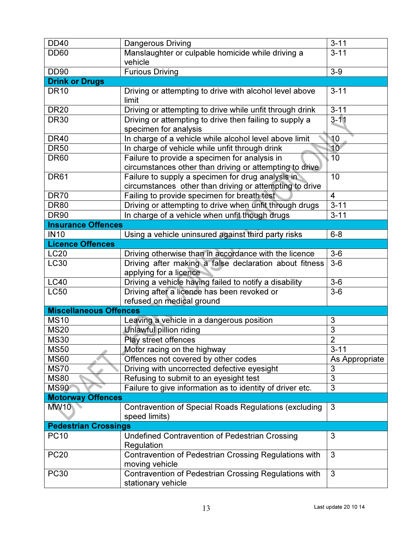| <b>DD40</b>                   | <b>Dangerous Driving</b>                                                                                     | $\overline{3} - 11$ |
|-------------------------------|--------------------------------------------------------------------------------------------------------------|---------------------|
| <b>DD60</b>                   | Manslaughter or culpable homicide while driving a<br>vehicle                                                 | $3 - 11$            |
| <b>DD90</b>                   | <b>Furious Driving</b>                                                                                       | $3-9$               |
| <b>Drink or Drugs</b>         |                                                                                                              |                     |
| <b>DR10</b>                   | Driving or attempting to drive with alcohol level above<br>limit                                             | $3 - 11$            |
| <b>DR20</b>                   | Driving or attempting to drive while unfit through drink                                                     | $3 - 11$            |
| <b>DR30</b>                   | Driving or attempting to drive then failing to supply a<br>specimen for analysis                             | $3 - 11$            |
| <b>DR40</b>                   | In charge of a vehicle while alcohol level above limit                                                       | 10                  |
| <b>DR50</b>                   | In charge of vehicle while unfit through drink                                                               | 10 <sup>7</sup>     |
| <b>DR60</b>                   | Failure to provide a specimen for analysis in<br>circumstances other than driving or attempting to drive     | 10                  |
| <b>DR61</b>                   | Failure to supply a specimen for drug analysis in<br>circumstances other than driving or attempting to drive | 10                  |
| <b>DR70</b>                   | Failing to provide specimen for breath test                                                                  | $\overline{4}$      |
| <b>DR80</b>                   | Driving or attempting to drive when unfit through drugs                                                      | $3 - 11$            |
| <b>DR90</b>                   | In charge of a vehicle when unfit though drugs                                                               | $3 - 11$            |
| <b>Insurance Offences</b>     |                                                                                                              |                     |
| <b>IN10</b>                   | Using a vehicle uninsured against third party risks                                                          | $6 - 8$             |
| <b>Licence Offences</b>       |                                                                                                              |                     |
| <b>LC20</b>                   | Driving otherwise than in accordance with the licence                                                        | $3-6$               |
| <b>LC30</b>                   | Driving after making a false declaration about fitness<br>applying for a licence                             | $3-6$               |
| <b>LC40</b>                   | Driving a vehicle having failed to notify a disability                                                       | $3-6$               |
| <b>LC50</b>                   | Driving after a licence has been revoked or                                                                  | $3-6$               |
|                               | refused on medical ground                                                                                    |                     |
| <b>Miscellaneous Offences</b> |                                                                                                              |                     |
| <b>MS10</b>                   | Leaving a vehicle in a dangerous position                                                                    | 3                   |
| <b>MS20</b>                   | Unlawful pillion riding                                                                                      | $\overline{3}$      |
| <b>MS30</b>                   | Play street offences                                                                                         | $\overline{2}$      |
| <b>MS50</b>                   | Motor racing on the highway                                                                                  | $3 - 11$            |
| <b>MS60</b>                   | Offences not covered by other codes                                                                          | As Appropriate      |
| <b>MS70</b>                   | Driving with uncorrected defective eyesight                                                                  | 3                   |
| <b>MS80</b>                   | Refusing to submit to an eyesight test                                                                       | 3                   |
| <b>MS90</b>                   | Failure to give information as to identity of driver etc.                                                    | 3                   |
| <b>Motorway Offences</b>      |                                                                                                              |                     |
| <b>MW10</b>                   | <b>Contravention of Special Roads Regulations (excluding</b>                                                 | 3                   |
|                               | speed limits)                                                                                                |                     |
| <b>Pedestrian Crossings</b>   |                                                                                                              |                     |
| <b>PC10</b>                   | <b>Undefined Contravention of Pedestrian Crossing</b><br>Regulation                                          | 3                   |
| <b>PC20</b>                   | Contravention of Pedestrian Crossing Regulations with<br>moving vehicle                                      | 3                   |
| <b>PC30</b>                   | Contravention of Pedestrian Crossing Regulations with                                                        | 3                   |
|                               | stationary vehicle                                                                                           |                     |